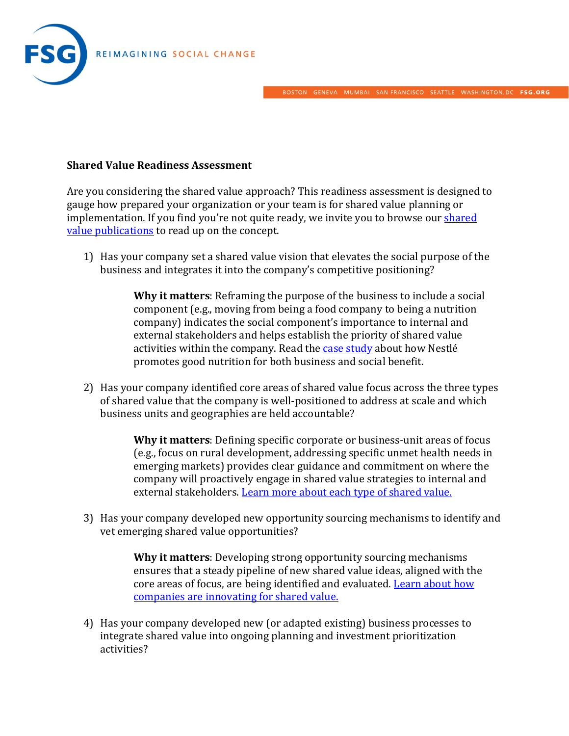

#### BOSTON GENEVA MUMBAI SAN FRANCISCO SEATTLE WASHINGTON, DC FSG.ORG

#### **Shared Value Readiness Assessment**

Are you considering the shared value approach? This readiness assessment is designed to gauge how prepared your organization or your team is for shared value planning or implementation. If you find you're not quite ready, we invite you to browse our shared [value publications](http://fsg.org/publications?sort_by=created&field_related_approach_areas_target_id=86&field_publication_type_value=All) to read up on the concept.

1) Has your company set a shared value vision that elevates the social purpose of the business and integrates it into the company's competitive positioning?

> **Why it matters**: Reframing the purpose of the business to include a social component (e.g., moving from being a food company to being a nutrition company) indicates the social component's importance to internal and external stakeholders and helps establish the priority of shared value activities within the company. Read the [case study](http://sharedvalue.org/resources/nestl%C3%A9-shared-value-case-study-micronutrient-fortification) about how Nestlé promotes good nutrition for both business and social benefit.

2) Has your company identified core areas of shared value focus across the three types of shared value that the company is well-positioned to address at scale and which business units and geographies are held accountable?

> **Why it matters**: Defining specific corporate or business-unit areas of focus (e.g., focus on rural development, addressing specific unmet health needs in emerging markets) provides clear guidance and commitment on where the company will proactively engage in shared value strategies to internal and external stakeholders. [Learn more about each type of shared value.](http://sharedvalue.org/about-shared-value)

3) Has your company developed new opportunity sourcing mechanisms to identify and vet emerging shared value opportunities?

> **Why it matters**: Developing strong opportunity sourcing mechanisms ensures that a steady pipeline of new shared value ideas, aligned with the core areas of focus, are being identified and evaluated[. Learn about how](http://fsg.org/publications/innovating-shared-value)  [companies are innovating for shared value.](http://fsg.org/publications/innovating-shared-value)

4) Has your company developed new (or adapted existing) business processes to integrate shared value into ongoing planning and investment prioritization activities?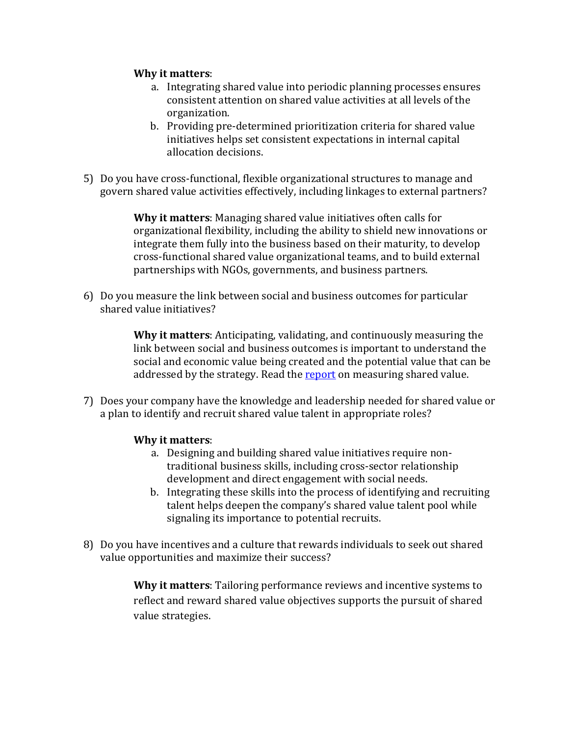### **Why it matters**:

- a. Integrating shared value into periodic planning processes ensures consistent attention on shared value activities at all levels of the organization.
- b. Providing pre-determined prioritization criteria for shared value initiatives helps set consistent expectations in internal capital allocation decisions.
- 5) Do you have cross-functional, flexible organizational structures to manage and govern shared value activities effectively, including linkages to external partners?

**Why it matters**: Managing shared value initiatives often calls for organizational flexibility, including the ability to shield new innovations or integrate them fully into the business based on their maturity, to develop cross-functional shared value organizational teams, and to build external partnerships with NGOs, governments, and business partners.

6) Do you measure the link between social and business outcomes for particular shared value initiatives?

> **Why it matters**: Anticipating, validating, and continuously measuring the link between social and business outcomes is important to understand the social and economic value being created and the potential value that can be addressed by the strategy. Read the [report](http://fsg.org/publications/measuring-shared-value) on measuring shared value.

7) Does your company have the knowledge and leadership needed for shared value or a plan to identify and recruit shared value talent in appropriate roles?

### **Why it matters**:

- a. Designing and building shared value initiatives require nontraditional business skills, including cross-sector relationship development and direct engagement with social needs.
- b. Integrating these skills into the process of identifying and recruiting talent helps deepen the company's shared value talent pool while signaling its importance to potential recruits.
- 8) Do you have incentives and a culture that rewards individuals to seek out shared value opportunities and maximize their success?

**Why it matters**: Tailoring performance reviews and incentive systems to reflect and reward shared value objectives supports the pursuit of shared value strategies.